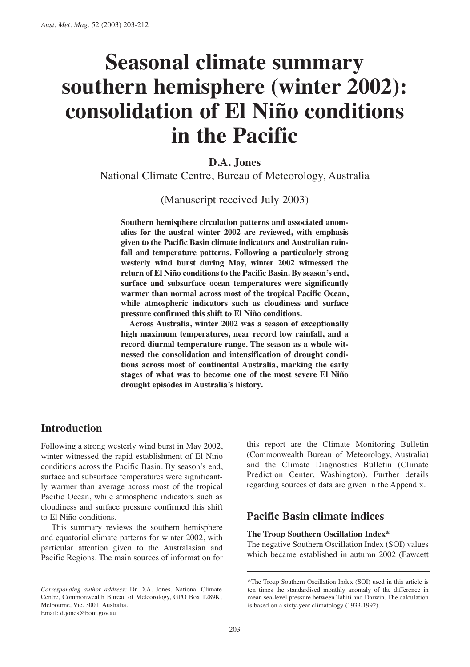# **Seasonal climate summary southern hemisphere (winter 2002): consolidation of El Niño conditions in the Pacific**

# **D.A. Jones**

National Climate Centre, Bureau of Meteorology, Australia

(Manuscript received July 2003)

**Southern hemisphere circulation patterns and associated anomalies for the austral winter 2002 are reviewed, with emphasis given to the Pacific Basin climate indicators and Australian rainfall and temperature patterns. Following a particularly strong westerly wind burst during May, winter 2002 witnessed the return of El Niño conditions to the Pacific Basin. By season's end, surface and subsurface ocean temperatures were significantly warmer than normal across most of the tropical Pacific Ocean, while atmospheric indicators such as cloudiness and surface pressure confirmed this shift to El Niño conditions.**

**Across Australia, winter 2002 was a season of exceptionally high maximum temperatures, near record low rainfall, and a record diurnal temperature range. The season as a whole witnessed the consolidation and intensification of drought conditions across most of continental Australia, marking the early stages of what was to become one of the most severe El Niño drought episodes in Australia's history.**

# **Introduction**

Following a strong westerly wind burst in May 2002, winter witnessed the rapid establishment of El Niño conditions across the Pacific Basin. By season's end, surface and subsurface temperatures were significantly warmer than average across most of the tropical Pacific Ocean, while atmospheric indicators such as cloudiness and surface pressure confirmed this shift to El Niño conditions.

This summary reviews the southern hemisphere and equatorial climate patterns for winter 2002, with particular attention given to the Australasian and Pacific Regions. The main sources of information for

this report are the Climate Monitoring Bulletin (Commonwealth Bureau of Meteorology, Australia) and the Climate Diagnostics Bulletin (Climate Prediction Center, Washington). Further details regarding sources of data are given in the Appendix.

## **Pacific Basin climate indices**

### **The Troup Southern Oscillation Index\***

The negative Southern Oscillation Index (SOI) values which became established in autumn 2002 (Fawcett

*Corresponding author address:* Dr D.A. Jones, National Climate Centre, Commonwealth Bureau of Meteorology, GPO Box 1289K, Melbourne, Vic. 3001, Australia. Email: d.jones@bom.gov.au

<sup>\*</sup>The Troup Southern Oscillation Index (SOI) used in this article is ten times the standardised monthly anomaly of the difference in mean sea-level pressure between Tahiti and Darwin. The calculation is based on a sixty-year climatology (1933-1992).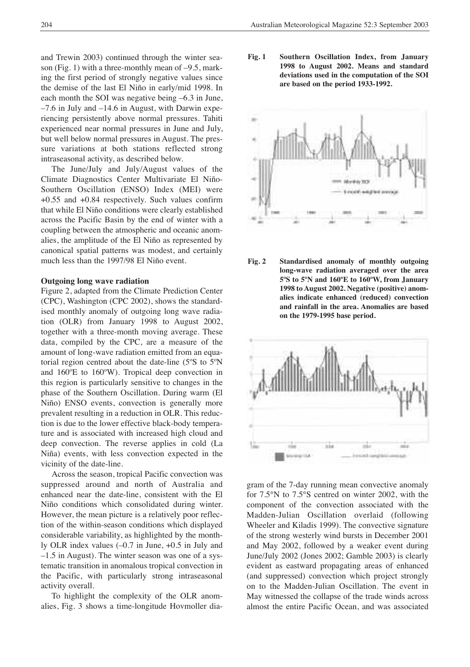and Trewin 2003) continued through the winter season (Fig. 1) with a three-monthly mean of –9.5, marking the first period of strongly negative values since the demise of the last El Niño in early/mid 1998. In each month the SOI was negative being –6.3 in June, –7.6 in July and –14.6 in August, with Darwin experiencing persistently above normal pressures. Tahiti experienced near normal pressures in June and July, but well below normal pressures in August. The pressure variations at both stations reflected strong intraseasonal activity, as described below.

The June/July and July/August values of the Climate Diagnostics Center Multivariate El Niño-Southern Oscillation (ENSO) Index (MEI) were +0.55 and +0.84 respectively. Such values confirm that while El Niño conditions were clearly established across the Pacific Basin by the end of winter with a coupling between the atmospheric and oceanic anomalies, the amplitude of the El Niño as represented by canonical spatial patterns was modest, and certainly much less than the 1997/98 El Niño event.

## **Outgoing long wave radiation**

Figure 2, adapted from the Climate Prediction Center (CPC), Washington (CPC 2002), shows the standardised monthly anomaly of outgoing long wave radiation (OLR) from January 1998 to August 2002, together with a three-month moving average. These data, compiled by the CPC, are a measure of the amount of long-wave radiation emitted from an equatorial region centred about the date-line (5ºS to 5ºN and 160ºE to 160ºW). Tropical deep convection in this region is particularly sensitive to changes in the phase of the Southern Oscillation. During warm (El Niño) ENSO events, convection is generally more prevalent resulting in a reduction in OLR. This reduction is due to the lower effective black-body temperature and is associated with increased high cloud and deep convection. The reverse applies in cold (La Niña) events, with less convection expected in the vicinity of the date-line.

Across the season, tropical Pacific convection was suppressed around and north of Australia and enhanced near the date-line, consistent with the El Niño conditions which consolidated during winter. However, the mean picture is a relatively poor reflection of the within-season conditions which displayed considerable variability, as highlighted by the monthly OLR index values (–0.7 in June, +0.5 in July and –1.5 in August). The winter season was one of a systematic transition in anomalous tropical convection in the Pacific, with particularly strong intraseasonal activity overall.

To highlight the complexity of the OLR anomalies, Fig. 3 shows a time-longitude Hovmoller dia**Fig. 1 Southern Oscillation Index, from January 1998 to August 2002. Means and standard deviations used in the computation of the SOI are based on the period 1933-1992.**



**Fig. 2 Standardised anomaly of monthly outgoing long-wave radiation averaged over the area 5ºS to 5ºN and 160ºE to 160ºW, from January 1998 to August 2002. Negative (positive) anomalies indicate enhanced (reduced) convection and rainfall in the area. Anomalies are based on the 1979-1995 base period.**



gram of the 7-day running mean convective anomaly for 7.5°N to 7.5°S centred on winter 2002, with the component of the convection associated with the Madden-Julian Oscillation overlaid (following Wheeler and Kiladis 1999). The convective signature of the strong westerly wind bursts in December 2001 and May 2002, followed by a weaker event during June/July 2002 (Jones 2002; Gamble 2003) is clearly evident as eastward propagating areas of enhanced (and suppressed) convection which project strongly on to the Madden-Julian Oscillation. The event in May witnessed the collapse of the trade winds across almost the entire Pacific Ocean, and was associated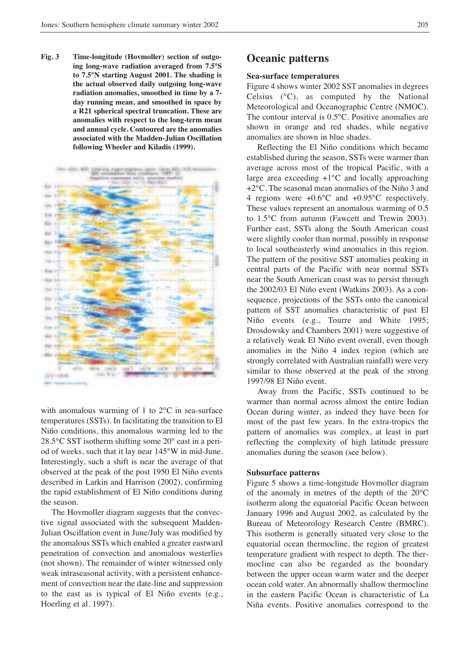**Fig. 3 Time-longitude (Hovmoller) section of outgoing long-wave radiation averaged from 7.5°S to 7.5°N starting August 2001. The shading is the actual observed daily outgoing long-wave radiation anomalies, smoothed in time by a 7 day running mean, and smoothed in space by a R21 spherical spectral truncation. These are anomalies with respect to the long-term mean and annual cycle. Contoured are the anomalies associated with the Madden-Julian Oscillation following Wheeler and Kiladis (1999).**



with anomalous warming of 1 to 2<sup>o</sup>C in sea-surface temperatures (SSTs). In facilitating the transition to El Niño conditions, this anomalous warming led to the 28.5°C SST isotherm shifting some 20° east in a period of weeks, such that it lay near 145°W in mid-June. Interestingly, such a shift is near the average of that observed at the peak of the post 1950 El Niño events described in Larkin and Harrison (2002), confirming the rapid establishment of El Niño conditions during the season.

The Hovmoller diagram suggests that the convective signal associated with the subsequent Madden-Julian Oscillation event in June/July was modified by the anomalous SSTs which enabled a greater eastward penetration of convection and anomalous westerlies (not shown). The remainder of winter witnessed only weak intraseasonal activity, with a persistent enhancement of convection near the date-line and suppression to the east as is typical of El Niño events (e.g., Hoerling et al. 1997).

# **Oceanic patterns**

## **Sea-surface temperatures**

Figure 4 shows winter 2002 SST anomalies in degrees Celsius (°C), as computed by the National Meteorological and Oceanographic Centre (NMOC). The contour interval is 0.5°C. Positive anomalies are shown in orange and red shades, while negative anomalies are shown in blue shades.

Reflecting the El Niño conditions which became established during the season, SSTs were warmer than average across most of the tropical Pacific, with a large area exceeding +1°C and locally approaching +2°C. The seasonal mean anomalies of the Niño 3 and 4 regions were +0.6°C and +0.95°C respectively. These values represent an anomalous warming of 0.5 to 1.5°C from autumn (Fawcett and Trewin 2003). Further east, SSTs along the South American coast were slightly cooler than normal, possibly in response to local southeasterly wind anomalies in this region. The pattern of the positive SST anomalies peaking in central parts of the Pacific with near normal SSTs near the South American coast was to persist through the 2002/03 El Niño event (Watkins 2003). As a consequence, projections of the SSTs onto the canonical pattern of SST anomalies characteristic of past El Niño events (e.g., Tourre and White 1995; Drosdowsky and Chambers 2001) were suggestive of a relatively weak El Niño event overall, even though anomalies in the Niño 4 index region (which are strongly correlated with Australian rainfall) were very similar to those observed at the peak of the strong 1997/98 El Niño event.

Away from the Pacific, SSTs continued to be warmer than normal across almost the entire Indian Ocean during winter, as indeed they have been for most of the past few years. In the extra-tropics the pattern of anomalies was complex, at least in part reflecting the complexity of high latitude pressure anomalies during the season (see below).

#### **Subsurface patterns**

Figure 5 shows a time-longitude Hovmoller diagram of the anomaly in metres of the depth of the 20°C isotherm along the equatorial Pacific Ocean between January 1996 and August 2002, as calculated by the Bureau of Meteorology Research Centre (BMRC). This isotherm is generally situated very close to the equatorial ocean thermocline, the region of greatest temperature gradient with respect to depth. The thermocline can also be regarded as the boundary between the upper ocean warm water and the deeper ocean cold water. An abnormally shallow thermocline in the eastern Pacific Ocean is characteristic of La Niña events. Positive anomalies correspond to the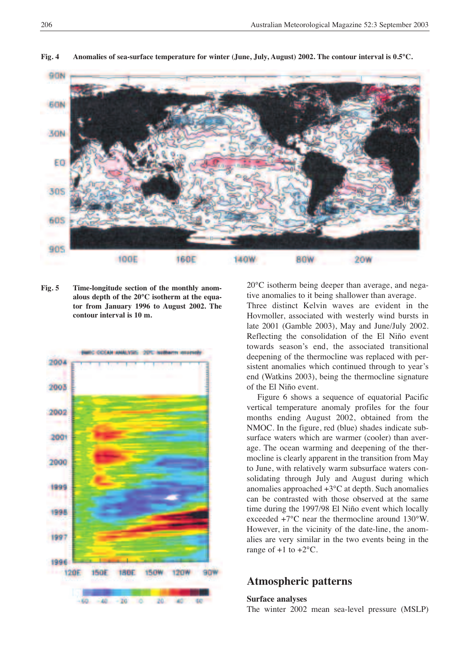

Fig. 4 Anomalies of sea-surface temperature for winter (June, July, August) 2002. The contour interval is 0.5°C.

**Fig. 5 Time-longitude section of the monthly anomalous depth of the 20°C isotherm at the equator from January 1996 to August 2002. The contour interval is 10 m.**



20°C isotherm being deeper than average, and negative anomalies to it being shallower than average.

Three distinct Kelvin waves are evident in the Hovmoller, associated with westerly wind bursts in late 2001 (Gamble 2003), May and June/July 2002. Reflecting the consolidation of the El Niño event towards season's end, the associated transitional deepening of the thermocline was replaced with persistent anomalies which continued through to year's end (Watkins 2003), being the thermocline signature of the El Niño event.

Figure 6 shows a sequence of equatorial Pacific vertical temperature anomaly profiles for the four months ending August 2002, obtained from the NMOC. In the figure, red (blue) shades indicate subsurface waters which are warmer (cooler) than average. The ocean warming and deepening of the thermocline is clearly apparent in the transition from May to June, with relatively warm subsurface waters consolidating through July and August during which anomalies approached +3°C at depth. Such anomalies can be contrasted with those observed at the same time during the 1997/98 El Niño event which locally exceeded +7°C near the thermocline around 130°W. However, in the vicinity of the date-line, the anomalies are very similar in the two events being in the range of  $+1$  to  $+2$ <sup>o</sup>C.

## **Atmospheric patterns**

#### **Surface analyses**

The winter 2002 mean sea-level pressure (MSLP)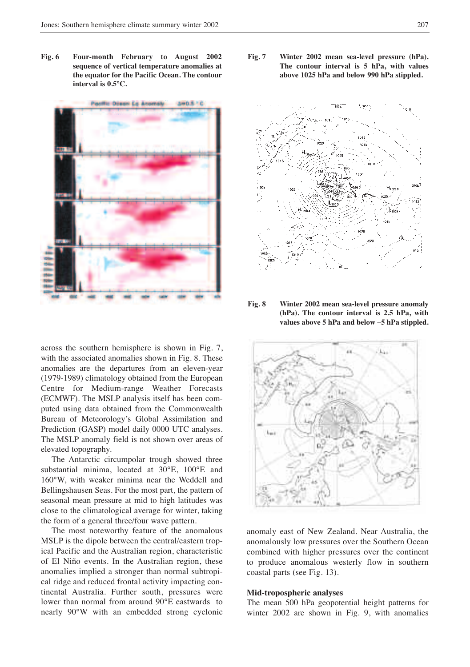**Fig. 6 Four-month February to August 2002 sequence of vertical temperature anomalies at the equator for the Pacific Ocean. The contour interval is 0.5°C.**



across the southern hemisphere is shown in Fig. 7, with the associated anomalies shown in Fig. 8. These anomalies are the departures from an eleven-year (1979-1989) climatology obtained from the European Centre for Medium-range Weather Forecasts (ECMWF). The MSLP analysis itself has been computed using data obtained from the Commonwealth Bureau of Meteorology's Global Assimilation and Prediction (GASP) model daily 0000 UTC analyses. The MSLP anomaly field is not shown over areas of elevated topography.

The Antarctic circumpolar trough showed three substantial minima, located at 30°E, 100°E and 160°W, with weaker minima near the Weddell and Bellingshausen Seas. For the most part, the pattern of seasonal mean pressure at mid to high latitudes was close to the climatological average for winter, taking the form of a general three/four wave pattern.

The most noteworthy feature of the anomalous MSLP is the dipole between the central/eastern tropical Pacific and the Australian region, characteristic of El Niño events. In the Australian region, these anomalies implied a stronger than normal subtropical ridge and reduced frontal activity impacting continental Australia. Further south, pressures were lower than normal from around 90°E eastwards to nearly 90°W with an embedded strong cyclonic **Fig. 7 Winter 2002 mean sea-level pressure (hPa). The contour interval is 5 hPa, with values above 1025 hPa and below 990 hPa stippled.**



**Fig. 8 Winter 2002 mean sea-level pressure anomaly (hPa). The contour interval is 2.5 hPa, with values above 5 hPa and below –5 hPa stippled.**



anomaly east of New Zealand. Near Australia, the anomalously low pressures over the Southern Ocean combined with higher pressures over the continent to produce anomalous westerly flow in southern coastal parts (see Fig. 13).

#### **Mid-tropospheric analyses**

The mean 500 hPa geopotential height patterns for winter 2002 are shown in Fig. 9, with anomalies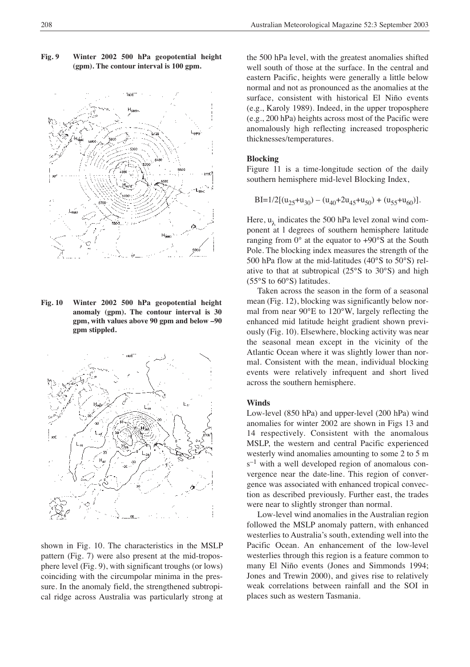

**Fig. 9 Winter 2002 500 hPa geopotential height (gpm). The contour interval is 100 gpm.**

**Fig. 10 Winter 2002 500 hPa geopotential height anomaly (gpm). The contour interval is 30 gpm, with values above 90 gpm and below –90 gpm stippled.**



shown in Fig. 10. The characteristics in the MSLP pattern (Fig. 7) were also present at the mid-troposphere level (Fig. 9), with significant troughs (or lows) coinciding with the circumpolar minima in the pressure. In the anomaly field, the strengthened subtropical ridge across Australia was particularly strong at

the 500 hPa level, with the greatest anomalies shifted well south of those at the surface. In the central and eastern Pacific, heights were generally a little below normal and not as pronounced as the anomalies at the surface, consistent with historical El Niño events (e.g., Karoly 1989). Indeed, in the upper troposphere (e.g., 200 hPa) heights across most of the Pacific were anomalously high reflecting increased tropospheric thicknesses/temperatures.

#### **Blocking**

Figure 11 is a time-longitude section of the daily southern hemisphere mid-level Blocking Index,

$$
BI=1/2[(u_{25}+u_{30})-(u_{40}+2u_{45}+u_{50})+(u_{55}+u_{60})].
$$

Here,  $u_{\lambda}$  indicates the 500 hPa level zonal wind component at l degrees of southern hemisphere latitude ranging from 0° at the equator to +90°S at the South Pole. The blocking index measures the strength of the 500 hPa flow at the mid-latitudes (40°S to 50°S) relative to that at subtropical (25°S to 30°S) and high (55°S to 60°S) latitudes.

Taken across the season in the form of a seasonal mean (Fig. 12), blocking was significantly below normal from near 90°E to 120°W, largely reflecting the enhanced mid latitude height gradient shown previously (Fig. 10). Elsewhere, blocking activity was near the seasonal mean except in the vicinity of the Atlantic Ocean where it was slightly lower than normal. Consistent with the mean, individual blocking events were relatively infrequent and short lived across the southern hemisphere.

#### **Winds**

Low-level (850 hPa) and upper-level (200 hPa) wind anomalies for winter 2002 are shown in Figs 13 and 14 respectively. Consistent with the anomalous MSLP, the western and central Pacific experienced westerly wind anomalies amounting to some 2 to 5 m  $s^{-1}$  with a well developed region of anomalous convergence near the date-line. This region of convergence was associated with enhanced tropical convection as described previously. Further east, the trades were near to slightly stronger than normal.

Low-level wind anomalies in the Australian region followed the MSLP anomaly pattern, with enhanced westerlies to Australia's south, extending well into the Pacific Ocean. An enhancement of the low-level westerlies through this region is a feature common to many El Niño events (Jones and Simmonds 1994; Jones and Trewin 2000), and gives rise to relatively weak correlations between rainfall and the SOI in places such as western Tasmania.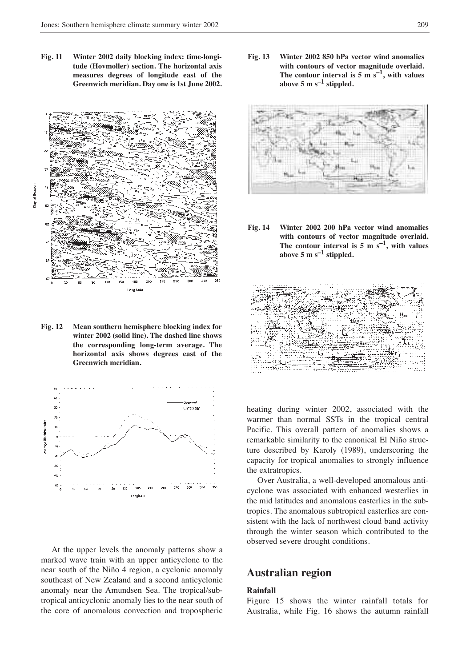**Fig. 11 Winter 2002 daily blocking index: time-longitude (Hovmoller) section. The horizontal axis measures degrees of longitude east of the Greenwich meridian. Day one is 1st June 2002.**



**Fig. 12 Mean southern hemisphere blocking index for winter 2002 (solid line). The dashed line shows the corresponding long-term average. The horizontal axis shows degrees east of the Greenwich meridian.**



At the upper levels the anomaly patterns show a marked wave train with an upper anticyclone to the near south of the Niño 4 region, a cyclonic anomaly southeast of New Zealand and a second anticyclonic anomaly near the Amundsen Sea. The tropical/subtropical anticyclonic anomaly lies to the near south of the core of anomalous convection and tropospheric

**Fig. 13 Winter 2002 850 hPa vector wind anomalies with contours of vector magnitude overlaid.** The **contour interval** is  $5 \text{ m/s}^{-1}$ , with values **above 5 m s–1 stippled.**



**Fig. 14 Winter 2002 200 hPa vector wind anomalies with contours of vector magnitude overlaid.** The contour interval is  $5 \text{ m s}^{-1}$ , with values above  $5 \text{ m s}^{-1}$  stippled.



heating during winter 2002, associated with the warmer than normal SSTs in the tropical central Pacific. This overall pattern of anomalies shows a remarkable similarity to the canonical El Niño structure described by Karoly (1989), underscoring the capacity for tropical anomalies to strongly influence the extratropics.

Over Australia, a well-developed anomalous anticyclone was associated with enhanced westerlies in the mid latitudes and anomalous easterlies in the subtropics. The anomalous subtropical easterlies are consistent with the lack of northwest cloud band activity through the winter season which contributed to the observed severe drought conditions.

## **Australian region**

#### **Rainfall**

Figure 15 shows the winter rainfall totals for Australia, while Fig. 16 shows the autumn rainfall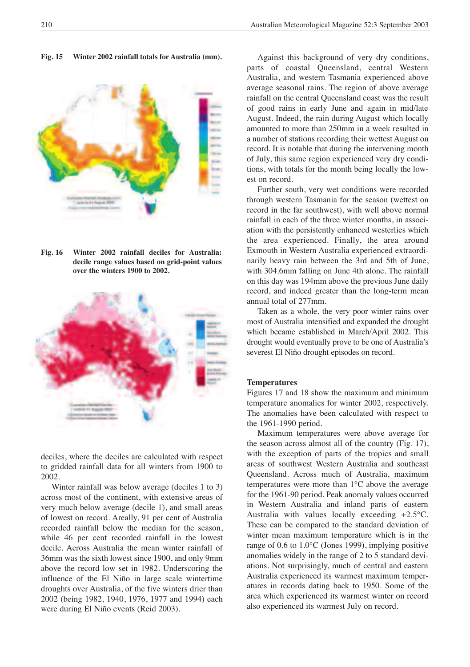**Fig. 15 Winter 2002 rainfall totals for Australia (mm).**



**Fig. 16 Winter 2002 rainfall deciles for Australia: decile range values based on grid-point values over the winters 1900 to 2002.**



deciles, where the deciles are calculated with respect to gridded rainfall data for all winters from 1900 to 2002.

Winter rainfall was below average (deciles 1 to 3) across most of the continent, with extensive areas of very much below average (decile 1), and small areas of lowest on record. Areally, 91 per cent of Australia recorded rainfall below the median for the season, while 46 per cent recorded rainfall in the lowest decile. Across Australia the mean winter rainfall of 36mm was the sixth lowest since 1900, and only 9mm above the record low set in 1982. Underscoring the influence of the El Niño in large scale wintertime droughts over Australia, of the five winters drier than 2002 (being 1982, 1940, 1976, 1977 and 1994) each were during El Niño events (Reid 2003).

Against this background of very dry conditions, parts of coastal Queensland, central Western Australia, and western Tasmania experienced above average seasonal rains. The region of above average rainfall on the central Queensland coast was the result of good rains in early June and again in mid/late August. Indeed, the rain during August which locally amounted to more than 250mm in a week resulted in a number of stations recording their wettest August on record. It is notable that during the intervening month of July, this same region experienced very dry conditions, with totals for the month being locally the lowest on record.

Further south, very wet conditions were recorded through western Tasmania for the season (wettest on record in the far southwest), with well above normal rainfall in each of the three winter months, in association with the persistently enhanced westerlies which the area experienced. Finally, the area around Exmouth in Western Australia experienced extraordinarily heavy rain between the 3rd and 5th of June, with 304.6mm falling on June 4th alone. The rainfall on this day was 194mm above the previous June daily record, and indeed greater than the long-term mean annual total of 277mm.

Taken as a whole, the very poor winter rains over most of Australia intensified and expanded the drought which became established in March/April 2002. This drought would eventually prove to be one of Australia's severest El Niño drought episodes on record.

#### **Temperatures**

Figures 17 and 18 show the maximum and minimum temperature anomalies for winter 2002, respectively. The anomalies have been calculated with respect to the 1961-1990 period.

Maximum temperatures were above average for the season across almost all of the country (Fig. 17), with the exception of parts of the tropics and small areas of southwest Western Australia and southeast Queensland. Across much of Australia, maximum temperatures were more than 1°C above the average for the 1961-90 period. Peak anomaly values occurred in Western Australia and inland parts of eastern Australia with values locally exceeding +2.5°C. These can be compared to the standard deviation of winter mean maximum temperature which is in the range of 0.6 to 1.0°C (Jones 1999), implying positive anomalies widely in the range of 2 to 5 standard deviations. Not surprisingly, much of central and eastern Australia experienced its warmest maximum temperatures in records dating back to 1950. Some of the area which experienced its warmest winter on record also experienced its warmest July on record.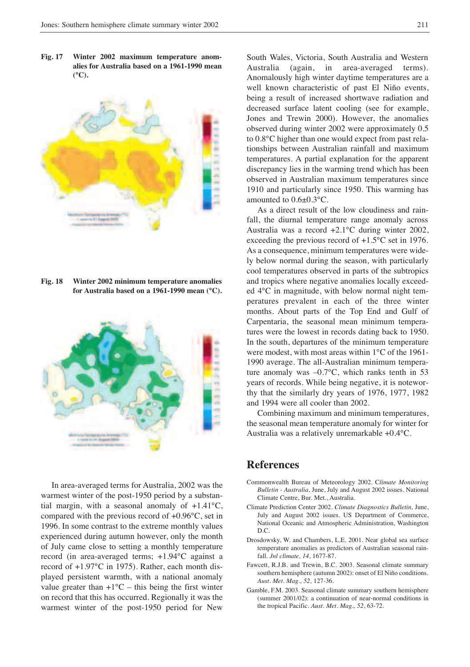**Fig. 17 Winter 2002 maximum temperature anomalies for Australia based on a 1961-1990 mean (°C).**



**Fig. 18 Winter 2002 minimum temperature anomalies for Australia based on a 1961-1990 mean (°C).**



In area-averaged terms for Australia, 2002 was the warmest winter of the post-1950 period by a substantial margin, with a seasonal anomaly of +1.41°C, compared with the previous record of +0.96°C, set in 1996. In some contrast to the extreme monthly values experienced during autumn however, only the month of July came close to setting a monthly temperature record (in area-averaged terms; +1.94°C against a record of +1.97°C in 1975). Rather, each month displayed persistent warmth, with a national anomaly value greater than  $+1$ °C – this being the first winter on record that this has occurred. Regionally it was the warmest winter of the post-1950 period for New

South Wales, Victoria, South Australia and Western Australia (again, in area-averaged terms). Anomalously high winter daytime temperatures are a well known characteristic of past El Niño events, being a result of increased shortwave radiation and decreased surface latent cooling (see for example, Jones and Trewin 2000). However, the anomalies observed during winter 2002 were approximately 0.5 to 0.8°C higher than one would expect from past relationships between Australian rainfall and maximum temperatures. A partial explanation for the apparent discrepancy lies in the warming trend which has been observed in Australian maximum temperatures since 1910 and particularly since 1950. This warming has amounted to 0.6±0.3°C.

As a direct result of the low cloudiness and rainfall, the diurnal temperature range anomaly across Australia was a record +2.1°C during winter 2002, exceeding the previous record of +1.5°C set in 1976. As a consequence, minimum temperatures were widely below normal during the season, with particularly cool temperatures observed in parts of the subtropics and tropics where negative anomalies locally exceeded 4°C in magnitude, with below normal night temperatures prevalent in each of the three winter months. About parts of the Top End and Gulf of Carpentaria, the seasonal mean minimum temperatures were the lowest in records dating back to 1950. In the south, departures of the minimum temperature were modest, with most areas within 1°C of the 1961- 1990 average. The all-Australian minimum temperature anomaly was –0.7°C, which ranks tenth in 53 years of records. While being negative, it is noteworthy that the similarly dry years of 1976, 1977, 1982 and 1994 were all cooler than 2002.

Combining maximum and minimum temperatures, the seasonal mean temperature anomaly for winter for Australia was a relatively unremarkable +0.4°C.

## **References**

- Commonwealth Bureau of Meteorology 2002. C*limate Monitoring Bulletin - Australia*, June, July and August 2002 issues. National Climate Centre, Bur. Met., Australia.
- Climate Prediction Center 2002. *Climate Diagnostics Bulletin,* June, July and August 2002 issues. US Department of Commerce, National Oceanic and Atmospheric Administration, Washington D.C.
- Drosdowsky, W. and Chambers, L.E. 2001. Near global sea surface temperature anomalies as predictors of Australian seasonal rainfall. *Jnl climate, 14*, 1677-87.
- Fawcett, R.J.B. and Trewin, B.C. 2003. Seasonal climate summary southern hemisphere (autumn 2002): onset of El Niño conditions. *Aust. Met. Mag., 52,* 127-36.
- Gamble, F.M. 2003. Seasonal climate summary southern hemisphere (summer 2001/02): a continuation of near-normal conditions in the tropical Pacific. *Aust. Met. Mag., 52*, 63-72.